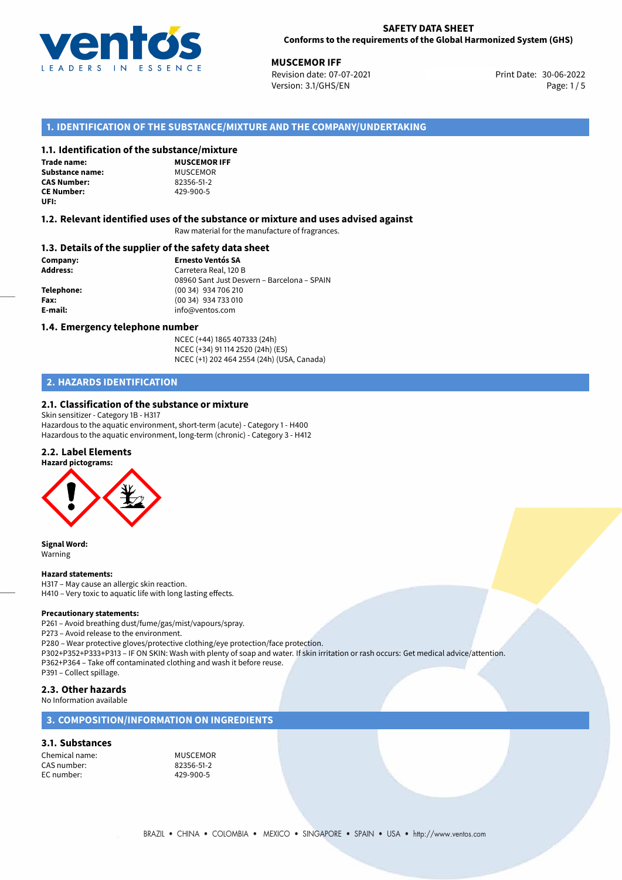

**MUSCEMOR IFF**<br>30-06-2022 **Revision date: 07-07-2021 Muscle 2008 Print Date: 30-06-2022** Revision date: 07-07-2021 Version: 3.1/GHS/EN Page: 1 / 5

# **1. IDENTIFICATION OF THE SUBSTANCE/MIXTURE AND THE COMPANY/UNDERTAKING**

### **1.1. Identification of the substance/mixture**

**Trade name: Substance name:** MUSCEMOR<br> **CAS Number:** 82356-51-2 **CAS Number: CE Number:** 429-900-5 **UFI:**

**MUSCEMOR IFF**

#### **1.2. Relevant identified uses of the substance or mixture and uses advised against**

Raw material for the manufacture of fragrances.

#### **1.3. Details of the supplier of the safety data sheet**

**Company: Ernesto Ventós SA Address:** Carretera Real, 120 B 08960 Sant Just Desvern – Barcelona – SPAIN **Telephone:** (00 34) 934 706 210 **Fax:** (00 34) 934 733 010 **E-mail:** info@ventos.com

#### **1.4. Emergency telephone number**

NCEC (+44) 1865 407333 (24h) NCEC (+34) 91 114 2520 (24h) (ES) NCEC (+1) 202 464 2554 (24h) (USA, Canada)

# **2. HAZARDS IDENTIFICATION**

# **2.1. Classification of the substance or mixture**

Skin sensitizer - Category 1B - H317 Hazardous to the aquatic environment, short-term (acute) - Category 1 - H400 Hazardous to the aquatic environment, long-term (chronic) - Category 3 - H412

## **2.2. Label Elements**



**Signal Word:** Warning

#### **Hazard statements:**

H317 – May cause an allergic skin reaction. H410 – Very toxic to aquatic life with long lasting effects.

#### **Precautionary statements:**

P261 – Avoid breathing dust/fume/gas/mist/vapours/spray.

P273 – Avoid release to the environment.

P280 – Wear protective gloves/protective clothing/eye protection/face protection.

P302+P352+P333+P313 – IF ON SKIN: Wash with plenty of soap and water. If skin irritation or rash occurs: Get medical advice/attention. P362+P364 – Take off contaminated clothing and wash it before reuse.

P391 – Collect spillage.

# **2.3. Other hazards**

No Information available

# **3. COMPOSITION/INFORMATION ON INGREDIENTS**

#### **3.1. Substances**

Chemical name:<br>
CAS number: 
MUSCEMOR<br>
22356-51-2 CAS number: 82356-51-2 EC number: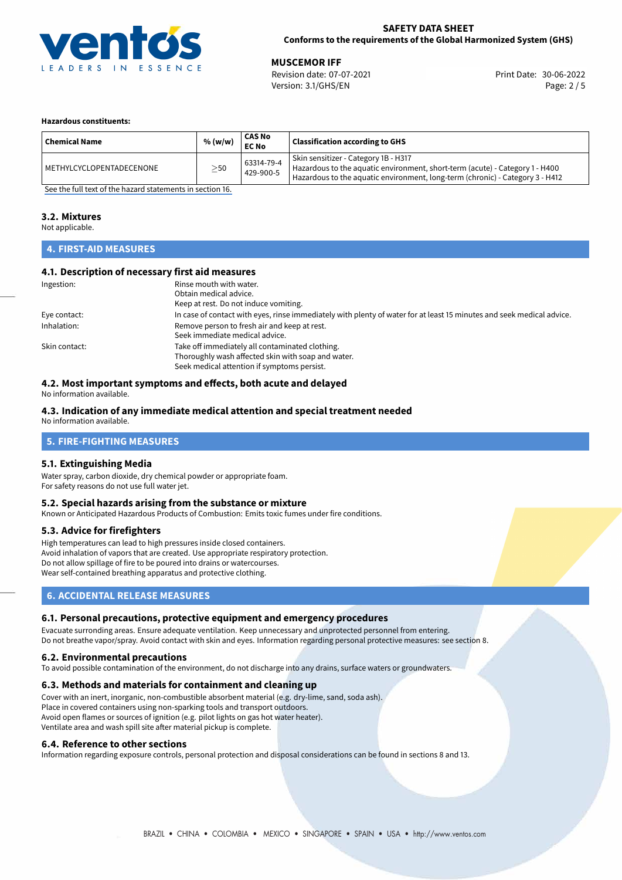

**MUSCEMOR IFF**<br>30-06-2022 Revision date: 07-07-2021 **Muscle 2008** Print Date: 30-06-2022 Revision date: 07-07-2021 Version: 3.1/GHS/EN Page: 2 / 5

#### **Hazardous constituents:**

| <b>Chemical Name</b>     | % (w/w)   | <b>CAS No</b><br><b>EC No</b> | <b>Classification according to GHS</b>                                                                                                                                                                |
|--------------------------|-----------|-------------------------------|-------------------------------------------------------------------------------------------------------------------------------------------------------------------------------------------------------|
| METHYLCYCLOPENTADECENONE | $\geq$ 50 | 63314-79-4<br>429-900-5       | Skin sensitizer - Category 1B - H317<br>Hazardous to the aquatic environment, short-term (acute) - Category 1 - H400<br>Hazardous to the aquatic environment, long-term (chronic) - Category 3 - H412 |

[See the full text of the hazard statements in section 16.](#page-4-0)

#### **3.2. Mixtures**

Not applicable.

### **4. FIRST-AID MEASURES**

### **4.1. Description of necessary first aid measures**

| Ingestion:    | Rinse mouth with water.                                                                                               |  |  |
|---------------|-----------------------------------------------------------------------------------------------------------------------|--|--|
|               | Obtain medical advice.                                                                                                |  |  |
|               | Keep at rest. Do not induce vomiting.                                                                                 |  |  |
| Eye contact:  | In case of contact with eyes, rinse immediately with plenty of water for at least 15 minutes and seek medical advice. |  |  |
| Inhalation:   | Remove person to fresh air and keep at rest.                                                                          |  |  |
|               | Seek immediate medical advice.                                                                                        |  |  |
| Skin contact: | Take off immediately all contaminated clothing.                                                                       |  |  |
|               | Thoroughly wash affected skin with soap and water.                                                                    |  |  |
|               | Seek medical attention if symptoms persist.                                                                           |  |  |

# **4.2. Most important symptoms and effects, both acute and delayed**

No information available.

### **4.3. Indication of any immediate medical attention and special treatment needed**

No information available.

### **5. FIRE-FIGHTING MEASURES**

### **5.1. Extinguishing Media**

Water spray, carbon dioxide, dry chemical powder or appropriate foam. For safety reasons do not use full water jet.

#### **5.2. Special hazards arising from the substance or mixture**

Known or Anticipated Hazardous Products of Combustion: Emits toxic fumes under fire conditions.

### **5.3. Advice for firefighters**

High temperatures can lead to high pressures inside closed containers. Avoid inhalation of vapors that are created. Use appropriate respiratory protection. Do not allow spillage of fire to be poured into drains or watercourses. Wear self-contained breathing apparatus and protective clothing.

# **6. ACCIDENTAL RELEASE MEASURES**

#### **6.1. Personal precautions, protective equipment and emergency procedures**

Evacuate surronding areas. Ensure adequate ventilation. Keep unnecessary and unprotected personnel from entering. Do not breathe vapor/spray. Avoid contact with skin and eyes. Information regarding personal protective measures: see section 8.

#### **6.2. Environmental precautions**

To avoid possible contamination of the environment, do not discharge into any drains, surface waters or groundwaters.

#### **6.3. Methods and materials for containment and cleaning up**

Cover with an inert, inorganic, non-combustible absorbent material (e.g. dry-lime, sand, soda ash). Place in covered containers using non-sparking tools and transport outdoors. Avoid open flames or sources of ignition (e.g. pilot lights on gas hot water heater). Ventilate area and wash spill site after material pickup is complete.

#### **6.4. Reference to other sections**

Information regarding exposure controls, personal protection and disposal considerations can be found in sections 8 and 13.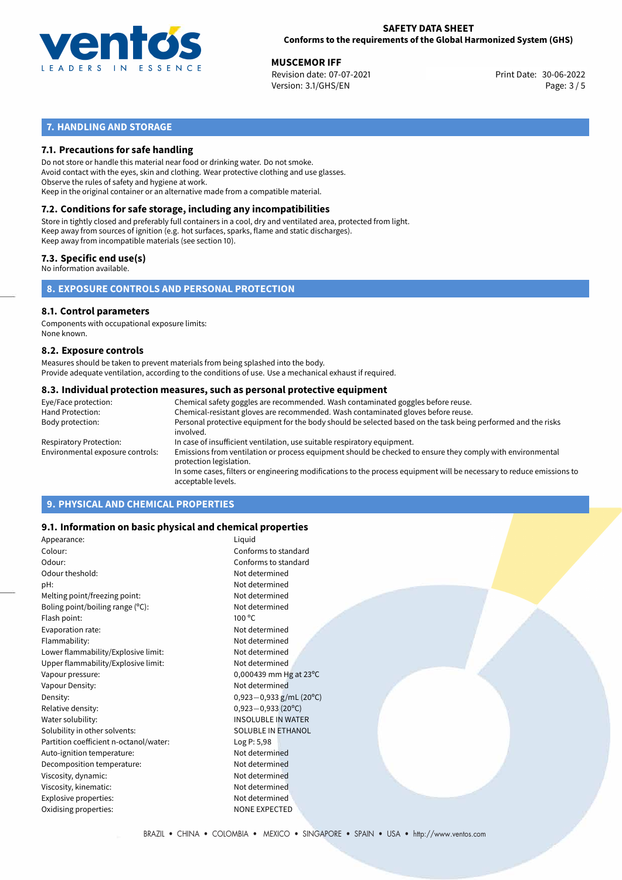

**MUSCEMOR IFF**<br>
Revision date: 07-07-2021 **Alta and Access 20-06-2022** Print Date: 30-06-2022 Version: 3.1/GHS/EN Page: 3 / 5

# **7. HANDLING AND STORAGE**

## **7.1. Precautions for safe handling**

Do not store or handle this material near food or drinking water. Do not smoke. Avoid contact with the eyes, skin and clothing. Wear protective clothing and use glasses. Observe the rules of safety and hygiene at work. Keep in the original container or an alternative made from a compatible material.

# **7.2. Conditions for safe storage, including any incompatibilities**

Store in tightly closed and preferably full containers in a cool, dry and ventilated area, protected from light. Keep away from sources of ignition (e.g. hot surfaces, sparks, flame and static discharges). Keep away from incompatible materials (see section 10).

### **7.3. Specific end use(s)**

No information available.

## **8. EXPOSURE CONTROLS AND PERSONAL PROTECTION**

# **8.1. Control parameters**

Components with occupational exposure limits: None known.

#### **8.2. Exposure controls**

Measures should be taken to prevent materials from being splashed into the body. Provide adequate ventilation, according to the conditions of use. Use a mechanical exhaust if required.

#### **8.3. Individual protection measures, such as personal protective equipment**

| Eye/Face protection:             | Chemical safety goggles are recommended. Wash contaminated goggles before reuse.                                                            |  |  |  |  |
|----------------------------------|---------------------------------------------------------------------------------------------------------------------------------------------|--|--|--|--|
| Hand Protection:                 | Chemical-resistant gloves are recommended. Wash contaminated gloves before reuse.                                                           |  |  |  |  |
| Body protection:                 | Personal protective equipment for the body should be selected based on the task being performed and the risks<br>involved.                  |  |  |  |  |
| Respiratory Protection:          | In case of insufficient ventilation, use suitable respiratory equipment.                                                                    |  |  |  |  |
| Environmental exposure controls: | Emissions from ventilation or process equipment should be checked to ensure they comply with environmental<br>protection legislation.       |  |  |  |  |
|                                  | In some cases, filters or engineering modifications to the process equipment will be necessary to reduce emissions to<br>acceptable levels. |  |  |  |  |
|                                  |                                                                                                                                             |  |  |  |  |

# **9. PHYSICAL AND CHEMICAL PROPERTIES**

### **9.1. Information on basic physical and chemical properties**

| Appearance:                            | Liquid                       |
|----------------------------------------|------------------------------|
| Colour:                                | Conforms to standard         |
| Odour:                                 | Conforms to standard         |
| Odour theshold:                        | Not determined               |
| pH:                                    | Not determined               |
| Melting point/freezing point:          | Not determined               |
| Boling point/boiling range $(°C)$ :    | Not determined               |
| Flash point:                           | $100^{\circ}$ C              |
| Evaporation rate:                      | Not determined               |
| Flammability:                          | Not determined               |
| Lower flammability/Explosive limit:    | Not determined               |
| Upper flammability/Explosive limit:    | Not determined               |
| Vapour pressure:                       | 0,000439 mm Hg at 23°C       |
| Vapour Density:                        | Not determined               |
| Density:                               | 0,923 - 0,933 g/mL (20°C)    |
| Relative density:                      | $0,923 - 0,933(20^{\circ}C)$ |
| Water solubility:                      | <b>INSOLUBLE IN WATER</b>    |
| Solubility in other solvents:          | <b>SOLUBLE IN ETHANOL</b>    |
| Partition coefficient n-octanol/water: | Log P: 5,98                  |
| Auto-ignition temperature:             | Not determined               |
| Decomposition temperature:             | Not determined               |
| Viscosity, dynamic:                    | Not determined               |
| Viscosity, kinematic:                  | Not determined               |
| Explosive properties:                  | Not determined               |
| Oxidising properties:                  | <b>NONE EXPECTED</b>         |
|                                        |                              |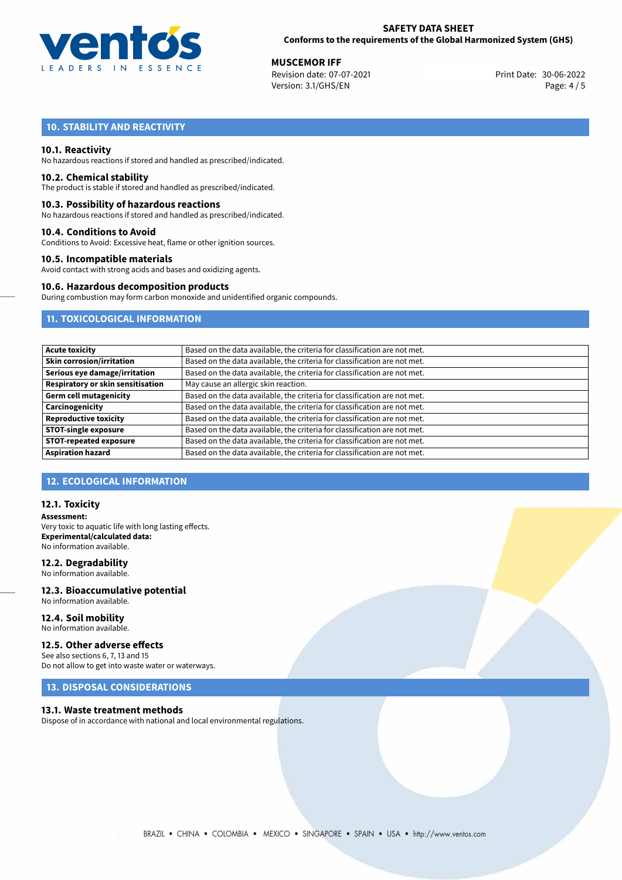

**MUSCEMOR IFF**<br>
Revision date: 07-07-2021 **Alta and Access 20-06-2022** Print Date: 30-06-2022 Version: 3.1/GHS/EN Page: 4 / 5

# **10. STABILITY AND REACTIVITY**

### **10.1. Reactivity**

No hazardous reactions if stored and handled as prescribed/indicated.

#### **10.2. Chemical stability**

The product is stable if stored and handled as prescribed/indicated.

#### **10.3. Possibility of hazardous reactions**

No hazardous reactions if stored and handled as prescribed/indicated.

#### **10.4. Conditions to Avoid**

Conditions to Avoid: Excessive heat, flame or other ignition sources.

#### **10.5. Incompatible materials**

Avoid contact with strong acids and bases and oxidizing agents.

#### **10.6. Hazardous decomposition products**

During combustion may form carbon monoxide and unidentified organic compounds.

# **11. TOXICOLOGICAL INFORMATION**

| <b>Acute toxicity</b>             | Based on the data available, the criteria for classification are not met. |
|-----------------------------------|---------------------------------------------------------------------------|
| Skin corrosion/irritation         | Based on the data available, the criteria for classification are not met. |
| Serious eye damage/irritation     | Based on the data available, the criteria for classification are not met. |
| Respiratory or skin sensitisation | May cause an allergic skin reaction.                                      |
| Germ cell mutagenicity            | Based on the data available, the criteria for classification are not met. |
| Carcinogenicity                   | Based on the data available, the criteria for classification are not met. |
| <b>Reproductive toxicity</b>      | Based on the data available, the criteria for classification are not met. |
| <b>STOT-single exposure</b>       | Based on the data available, the criteria for classification are not met. |
| <b>STOT-repeated exposure</b>     | Based on the data available, the criteria for classification are not met. |
| <b>Aspiration hazard</b>          | Based on the data available, the criteria for classification are not met. |

# **12. ECOLOGICAL INFORMATION**

#### **12.1. Toxicity**

**Assessment:** Very toxic to aquatic life with long lasting effects. **Experimental/calculated data:** No information available.

#### **12.2. Degradability**

No information available.

#### **12.3. Bioaccumulative potential** No information available.

**12.4. Soil mobility** No information available.

# **12.5. Other adverse effects**

See also sections 6, 7, 13 and 15 Do not allow to get into waste water or waterways.

# **13. DISPOSAL CONSIDERATIONS**

#### **13.1. Waste treatment methods**

Dispose of in accordance with national and local environmental regulations.